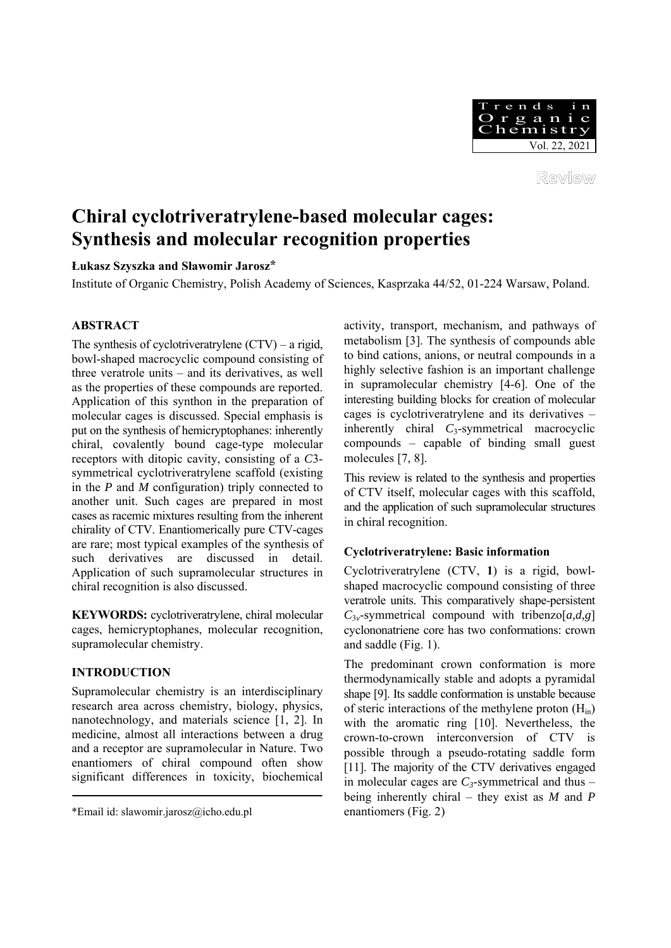

Review

# **Chiral cyclotriveratrylene-based molecular cages: Synthesis and molecular recognition properties**

# **Łukasz Szyszka and Sławomir Jarosz\***

Institute of Organic Chemistry, Polish Academy of Sciences, Kasprzaka 44/52, 01-224 Warsaw, Poland.

# **ABSTRACT**

The synthesis of cyclotriveratrylene  $(CTV)$  – a rigid, bowl-shaped macrocyclic compound consisting of three veratrole units – and its derivatives, as well as the properties of these compounds are reported. Application of this synthon in the preparation of molecular cages is discussed. Special emphasis is put on the synthesis of hemicryptophanes: inherently chiral, covalently bound cage-type molecular receptors with ditopic cavity, consisting of a *C*3 symmetrical cyclotriveratrylene scaffold (existing in the *P* and *M* configuration) triply connected to another unit. Such cages are prepared in most cases as racemic mixtures resulting from the inherent chirality of CTV. Enantiomerically pure CTV-cages are rare; most typical examples of the synthesis of such derivatives are discussed in detail. Application of such supramolecular structures in chiral recognition is also discussed.

**KEYWORDS:** cyclotriveratrylene, chiral molecular cages, hemicryptophanes, molecular recognition, supramolecular chemistry.

# **INTRODUCTION**

Supramolecular chemistry is an interdisciplinary research area across chemistry, biology, physics, nanotechnology, and materials science [1, 2]. In medicine, almost all interactions between a drug and a receptor are supramolecular in Nature. Two enantiomers of chiral compound often show significant differences in toxicity, biochemical activity, transport, mechanism, and pathways of metabolism [3]. The synthesis of compounds able to bind cations, anions, or neutral compounds in a highly selective fashion is an important challenge in supramolecular chemistry [4-6]. One of the interesting building blocks for creation of molecular cages is cyclotriveratrylene and its derivatives – inherently chiral *C*3-symmetrical macrocyclic compounds – capable of binding small guest molecules [7, 8].

This review is related to the synthesis and properties of CTV itself, molecular cages with this scaffold, and the application of such supramolecular structures in chiral recognition.

# **Cyclotriveratrylene: Basic information**

Cyclotriveratrylene (CTV, **1**) is a rigid, bowlshaped macrocyclic compound consisting of three veratrole units. This comparatively shape-persistent  $C_{3v}$ -symmetrical compound with tribenzo[ $a,d,g$ ] cyclononatriene core has two conformations: crown and saddle (Fig. 1).

The predominant crown conformation is more thermodynamically stable and adopts a pyramidal shape [9]. Its saddle conformation is unstable because of steric interactions of the methylene proton  $(H_{in})$ with the aromatic ring [10]. Nevertheless, the crown-to-crown interconversion of CTV is possible through a pseudo-rotating saddle form [11]. The majority of the CTV derivatives engaged in molecular cages are  $C_3$ -symmetrical and thus – being inherently chiral – they exist as *M* and *P* enantiomers (Fig. 2)

<sup>\*</sup>Email id: slawomir.jarosz@icho.edu.pl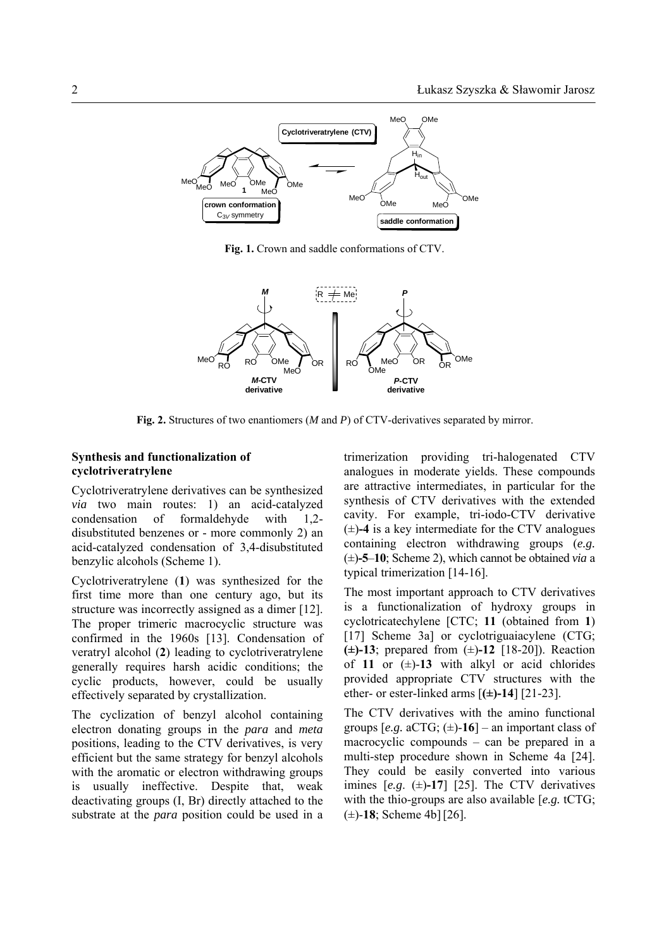

**Fig. 1.** Crown and saddle conformations of CTV.



**Fig. 2.** Structures of two enantiomers (*M* and *P*) of CTV-derivatives separated by mirror.

## **Synthesis and functionalization of cyclotriveratrylene**

Cyclotriveratrylene derivatives can be synthesized *via* two main routes: 1) an acid-catalyzed condensation of formaldehyde with 1,2 disubstituted benzenes or - more commonly 2) an acid-catalyzed condensation of 3,4-disubstituted benzylic alcohols (Scheme 1).

Cyclotriveratrylene (**1**) was synthesized for the first time more than one century ago, but its structure was incorrectly assigned as a dimer [12]. The proper trimeric macrocyclic structure was confirmed in the 1960s [13]. Condensation of veratryl alcohol (**2**) leading to cyclotriveratrylene generally requires harsh acidic conditions; the cyclic products, however, could be usually effectively separated by crystallization.

The cyclization of benzyl alcohol containing electron donating groups in the *para* and *meta* positions, leading to the CTV derivatives, is very efficient but the same strategy for benzyl alcohols with the aromatic or electron withdrawing groups is usually ineffective. Despite that, weak deactivating groups (I, Br) directly attached to the substrate at the *para* position could be used in a trimerization providing tri-halogenated CTV analogues in moderate yields. These compounds are attractive intermediates, in particular for the synthesis of CTV derivatives with the extended cavity. For example, tri-iodo-CTV derivative  $(\pm)$ -4 is a key intermediate for the CTV analogues containing electron withdrawing groups (*e.g.* (±)**-5**–**10**; Scheme 2), which cannot be obtained *via* a typical trimerization [14-16].

The most important approach to CTV derivatives is a functionalization of hydroxy groups in cyclotricatechylene [CTC; **11** (obtained from **1**) [17] Scheme 3a] or cyclotriguaiacylene (CTG; **(±)-13**; prepared from (±)**-12** [18-20]). Reaction of 11 or  $(\pm)$ -13 with alkyl or acid chlorides provided appropriate CTV structures with the ether- or ester-linked arms [**(±)-14**] [21-23].

The CTV derivatives with the amino functional groups  $[e.g. aCTG; (\pm) -16]$  – an important class of macrocyclic compounds – can be prepared in a multi-step procedure shown in Scheme 4a [24]. They could be easily converted into various imines  $[e.g. (\pm)$ -17] [25]. The CTV derivatives with the thio-groups are also available [*e.g.* tCTG; (±)-**18**; Scheme 4b][26].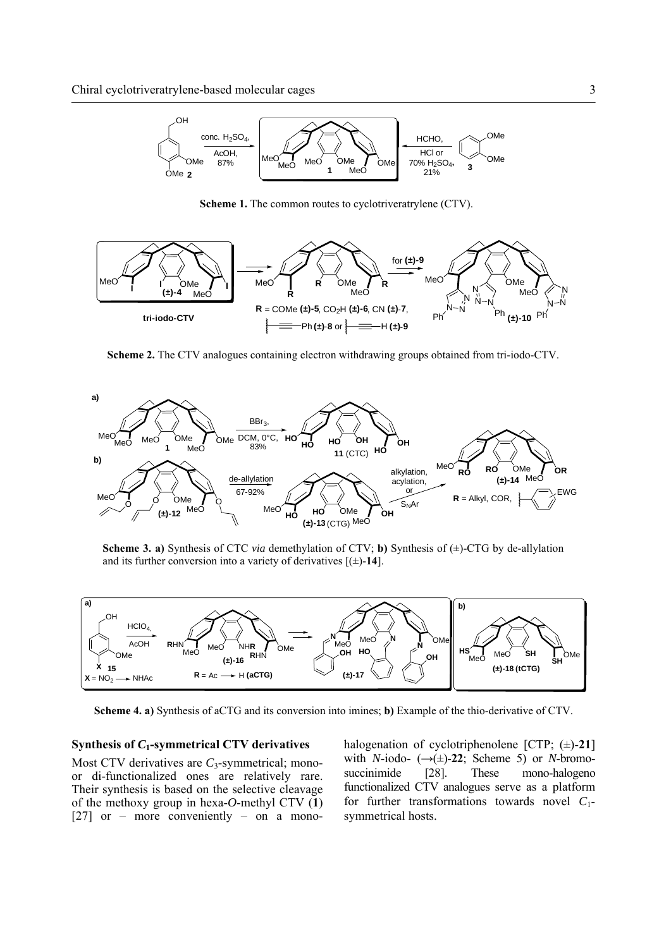

**Scheme 1.** The common routes to cyclotriveratrylene (CTV).



**Scheme 2.** The CTV analogues containing electron withdrawing groups obtained from tri-iodo-CTV.



**Scheme 3. a)** Synthesis of CTC *via* demethylation of CTV; **b)** Synthesis of (±)-CTG by de-allylation and its further conversion into a variety of derivatives  $[(\pm)$ -14].



**Scheme 4. a)** Synthesis of aCTG and its conversion into imines; **b)** Example of the thio-derivative of CTV.

#### **Synthesis of** *C***1-symmetrical CTV derivatives**

Most CTV derivatives are *C*<sub>3</sub>-symmetrical; monoor di-functionalized ones are relatively rare. Their synthesis is based on the selective cleavage of the methoxy group in hexa-*O*-methyl CTV (**1**) [27] or – more conveniently – on a monohalogenation of cyclotriphenolene [CTP; (±)-**21**] with *N*-iodo-  $(\rightarrow \pm)$ -22; Scheme 5) or *N*-bromosuccinimide [28]. These mono-halogeno functionalized CTV analogues serve as a platform for further transformations towards novel *C*1 symmetrical hosts.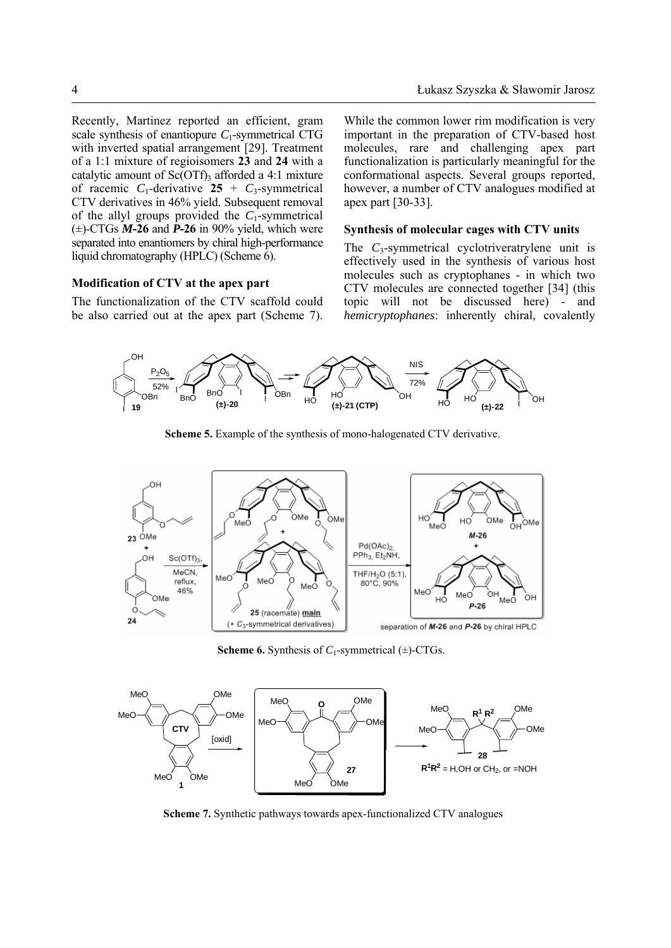Recently, Martinez reported an efficient, gram scale synthesis of enantiopure *C*1-symmetrical CTG with inverted spatial arrangement [29]. Treatment of a 1:1 mixture of regioisomers **23** and **24** with a catalytic amount of  $Sc(OTf)$ <sub>3</sub> afforded a 4:1 mixture of racemic  $C_1$ -derivative 25 +  $C_3$ -symmetrical CTV derivatives in 46% yield. Subsequent removal of the allyl groups provided the *C*1-symmetrical  $(\pm)$ -CTGs *M***-26** and *P***-26** in 90% yield, which were separated into enantiomers by chiral high-performance liquid chromatography (HPLC) (Scheme 6).

## **Modification of CTV at the apex part**

The functionalization of the CTV scaffold could be also carried out at the apex part (Scheme 7).

While the common lower rim modification is very important in the preparation of CTV-based host molecules, rare and challenging apex part functionalization is particularly meaningful for the conformational aspects. Several groups reported, however, a number of CTV analogues modified at apex part [30-33].

## **Synthesis of molecular cages with CTV units**

The *C*<sub>3</sub>-symmetrical cyclotriveratrylene unit is effectively used in the synthesis of various host molecules such as cryptophanes - in which two CTV molecules are connected together [34] (this topic will not be discussed here) - and *hemicryptophanes*: inherently chiral, covalently



**Scheme 5.** Example of the synthesis of mono-halogenated CTV derivative.



**Scheme 6.** Synthesis of  $C_1$ -symmetrical ( $\pm$ )-CTGs.



**Scheme 7.** Synthetic pathways towards apex-functionalized CTV analogues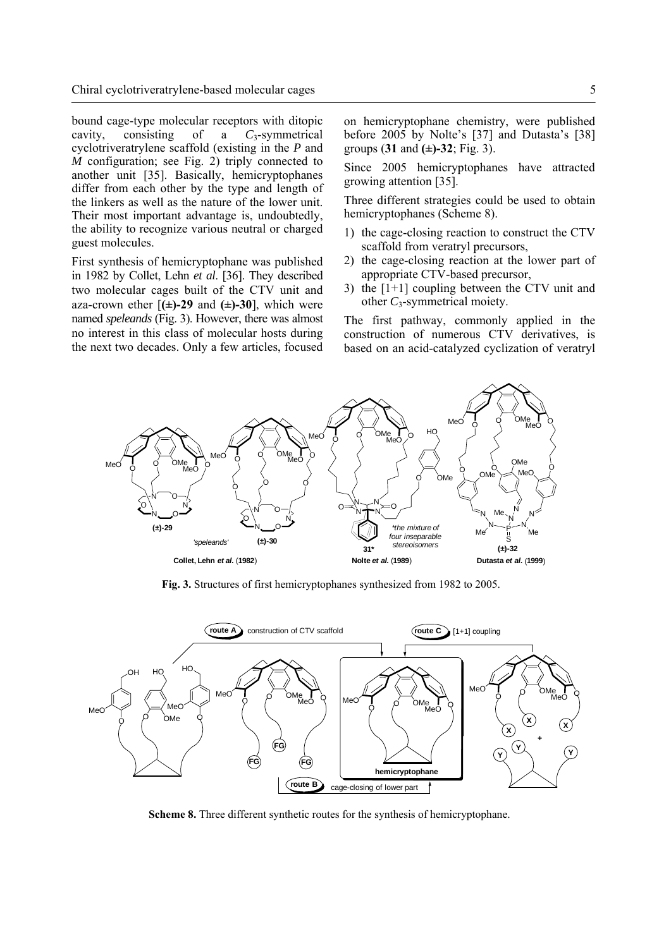bound cage-type molecular receptors with ditopic cavity, consisting of a *C*3-symmetrical cyclotriveratrylene scaffold (existing in the *P* and *M* configuration; see Fig. 2) triply connected to another unit [35]. Basically, hemicryptophanes differ from each other by the type and length of the linkers as well as the nature of the lower unit. Their most important advantage is, undoubtedly, the ability to recognize various neutral or charged guest molecules.

First synthesis of hemicryptophane was published in 1982 by Collet, Lehn *et al*. [36]. They described two molecular cages built of the CTV unit and aza-crown ether  $[(\pm)$ -29 and  $(\pm)$ -30], which were named *speleands* (Fig. 3). However, there was almost no interest in this class of molecular hosts during the next two decades. Only a few articles, focused on hemicryptophane chemistry, were published before 2005 by Nolte's [37] and Dutasta's [38] groups (**31** and **(±)-32**; Fig. 3).

Since 2005 hemicryptophanes have attracted growing attention [35].

Three different strategies could be used to obtain hemicryptophanes (Scheme 8).

- 1) the cage-closing reaction to construct the CTV scaffold from veratryl precursors,
- 2) the cage-closing reaction at the lower part of appropriate CTV-based precursor,
- 3) the [1+1] coupling between the CTV unit and other *C*3-symmetrical moiety.

The first pathway, commonly applied in the construction of numerous CTV derivatives, is based on an acid-catalyzed cyclization of veratryl



**Fig. 3.** Structures of first hemicryptophanes synthesized from 1982 to 2005.



**Scheme 8.** Three different synthetic routes for the synthesis of hemicryptophane.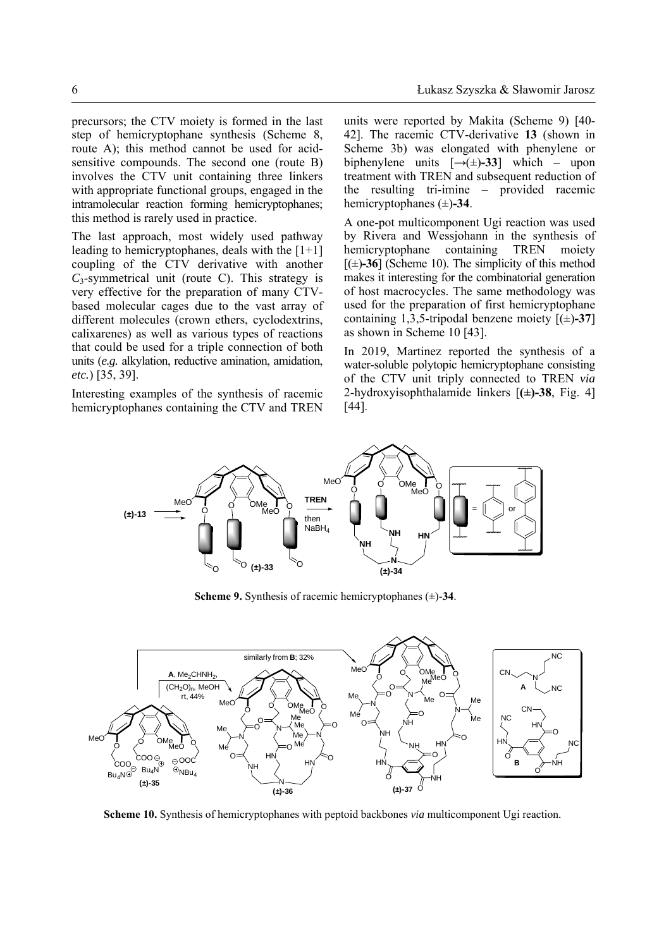precursors; the CTV moiety is formed in the last step of hemicryptophane synthesis (Scheme 8, route A); this method cannot be used for acidsensitive compounds. The second one (route B) involves the CTV unit containing three linkers with appropriate functional groups, engaged in the intramolecular reaction forming hemicryptophanes; this method is rarely used in practice.

The last approach, most widely used pathway leading to hemicryptophanes, deals with the  $[1+1]$ coupling of the CTV derivative with another  $C_3$ -symmetrical unit (route C). This strategy is very effective for the preparation of many CTVbased molecular cages due to the vast array of different molecules (crown ethers, cyclodextrins, calixarenes) as well as various types of reactions that could be used for a triple connection of both units (*e.g.* alkylation, reductive amination, amidation, *etc.*) [35, 39].

Interesting examples of the synthesis of racemic hemicryptophanes containing the CTV and TREN

units were reported by Makita (Scheme 9) [40- 42]. The racemic CTV-derivative **13** (shown in Scheme 3b) was elongated with phenylene or biphenylene units  $[\rightarrow(\pm)$ **-33**] which – upon treatment with TREN and subsequent reduction of the resulting tri-imine – provided racemic hemicryptophanes (±)**-34**.

A one-pot multicomponent Ugi reaction was used by Rivera and Wessjohann in the synthesis of hemicryptophane containing TREN moiety  $[(\pm)$ **-36**] (Scheme 10). The simplicity of this method makes it interesting for the combinatorial generation of host macrocycles. The same methodology was used for the preparation of first hemicryptophane containing 1,3,5-tripodal benzene moiety  $[(\pm)$ -37] as shown in Scheme 10 [43].

In 2019, Martinez reported the synthesis of a water-soluble polytopic hemicryptophane consisting of the CTV unit triply connected to TREN *via* 2-hydroxyisophthalamide linkers [**(±)-38**, Fig. 4] [44].



**Scheme 9.** Synthesis of racemic hemicryptophanes (±)-**34**.



**Scheme 10.** Synthesis of hemicryptophanes with peptoid backbones *via* multicomponent Ugi reaction.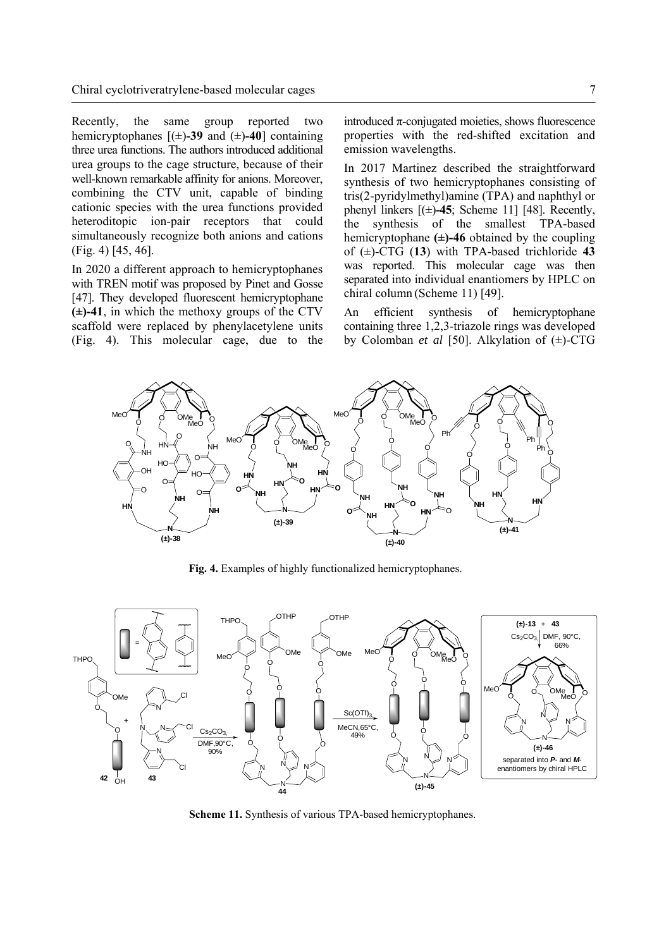Recently, the same group reported two hemicryptophanes [(±)**-39** and (±)**-40**] containing three urea functions. The authors introduced additional urea groups to the cage structure, because of their well-known remarkable affinity for anions. Moreover, combining the CTV unit, capable of binding cationic species with the urea functions provided heteroditopic ion-pair receptors that could simultaneously recognize both anions and cations (Fig. 4) [45, 46].

In 2020 a different approach to hemicryptophanes with TREN motif was proposed by Pinet and Gosse [47]. They developed fluorescent hemicryptophane **(±)-41**, in which the methoxy groups of the CTV scaffold were replaced by phenylacetylene units (Fig. 4). This molecular cage, due to the introduced π-conjugated moieties, shows fluorescence properties with the red-shifted excitation and emission wavelengths.

In 2017 Martinez described the straightforward synthesis of two hemicryptophanes consisting of tris(2-pyridylmethyl)amine (TPA) and naphthyl or phenyl linkers  $[(\pm)$ **-45**; Scheme 11] [48]. Recently, the synthesis of the smallest TPA-based hemicryptophane **(±)-46** obtained by the coupling of (±)-CTG (**13**) with TPA-based trichloride **43** was reported. This molecular cage was then separated into individual enantiomers by HPLC on chiral column (Scheme 11) [49].

An efficient synthesis of hemicryptophane containing three 1,2,3-triazole rings was developed by Colomban *et al* [50]. Alkylation of (±)-CTG



**Fig. 4.** Examples of highly functionalized hemicryptophanes.



**Scheme 11.** Synthesis of various TPA-based hemicryptophanes.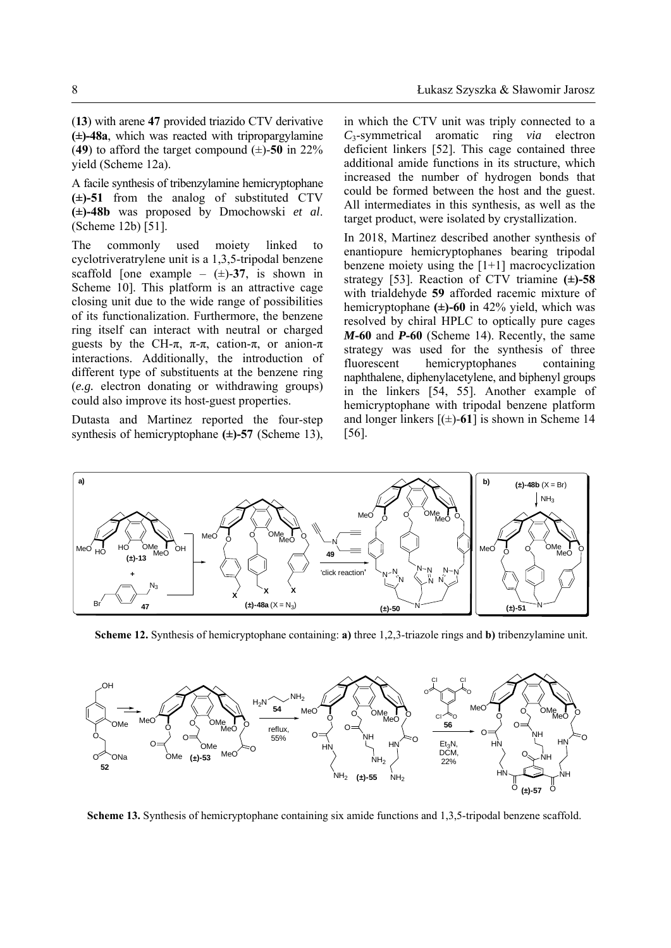(**13**) with arene **47** provided triazido CTV derivative **(±)-48a**, which was reacted with tripropargylamine (49) to afford the target compound  $(\pm)$ -50 in 22% yield (Scheme 12a).

A facile synthesis of tribenzylamine hemicryptophane **(±)-51** from the analog of substituted CTV **(±)-48b** was proposed by Dmochowski *et al*. (Scheme 12b) [51].

The commonly used moiety linked to cyclotriveratrylene unit is a 1,3,5-tripodal benzene scaffold [one example –  $(\pm)$ -37, is shown in Scheme 10]. This platform is an attractive cage closing unit due to the wide range of possibilities of its functionalization. Furthermore, the benzene ring itself can interact with neutral or charged guests by the CH- $\pi$ ,  $\pi$ - $\pi$ , cation- $\pi$ , or anion- $\pi$ interactions. Additionally, the introduction of different type of substituents at the benzene ring (*e.g.* electron donating or withdrawing groups) could also improve its host-guest properties.

Dutasta and Martinez reported the four-step synthesis of hemicryptophane **(±)-57** (Scheme 13), in which the CTV unit was triply connected to a *C*3-symmetrical aromatic ring *via* electron deficient linkers [52]. This cage contained three additional amide functions in its structure, which increased the number of hydrogen bonds that could be formed between the host and the guest. All intermediates in this synthesis, as well as the target product, were isolated by crystallization.

In 2018, Martinez described another synthesis of enantiopure hemicryptophanes bearing tripodal benzene moiety using the [1+1] macrocyclization strategy [53]. Reaction of CTV triamine **(±)-58** with trialdehyde **59** afforded racemic mixture of hemicryptophane **(±)-60** in 42% yield, which was resolved by chiral HPLC to optically pure cages *M***-60** and *P***-60** (Scheme 14). Recently, the same strategy was used for the synthesis of three fluorescent hemicryptophanes containing naphthalene, diphenylacetylene, and biphenyl groups in the linkers [54, 55]. Another example of hemicryptophane with tripodal benzene platform and longer linkers  $[(\pm)$ -61] is shown in Scheme 14 [56].



**Scheme 12.** Synthesis of hemicryptophane containing: **a)** three 1,2,3-triazole rings and **b)** tribenzylamine unit.



**Scheme 13.** Synthesis of hemicryptophane containing six amide functions and 1,3,5-tripodal benzene scaffold.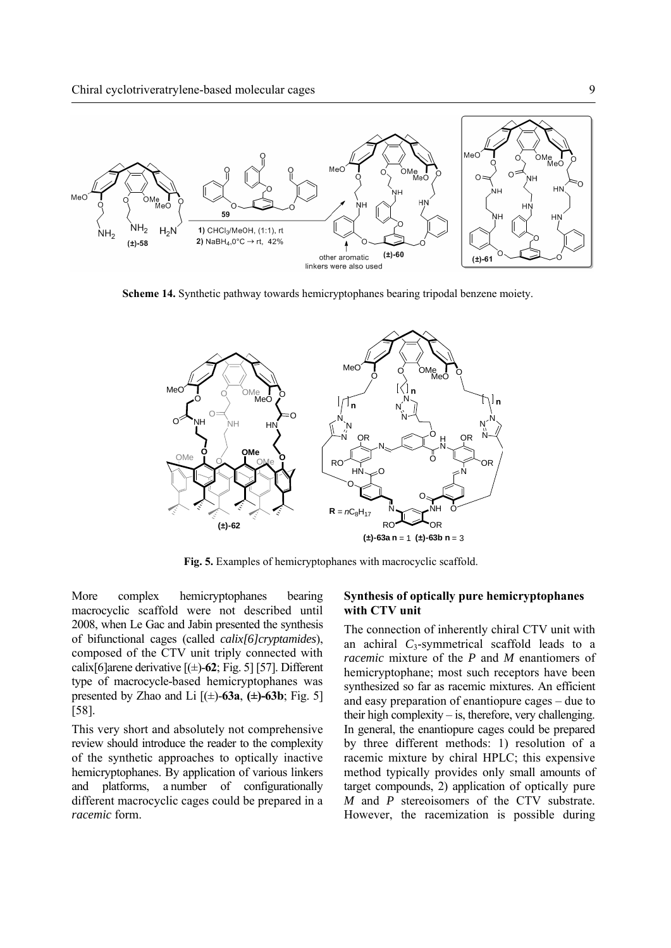

**Scheme 14.** Synthetic pathway towards hemicryptophanes bearing tripodal benzene moiety.



**Fig. 5.** Examples of hemicryptophanes with macrocyclic scaffold.

More complex hemicryptophanes bearing macrocyclic scaffold were not described until 2008, when Le Gac and Jabin presented the synthesis of bifunctional cages (called *calix[6]cryptamides*), composed of the CTV unit triply connected with calix[6]arene derivative [(±)-**62**; Fig. 5] [57]. Different type of macrocycle-based hemicryptophanes was presented by Zhao and Li  $[(\pm)$ -63a,  $(\pm)$ -63b; Fig. 5] [58].

This very short and absolutely not comprehensive review should introduce the reader to the complexity of the synthetic approaches to optically inactive hemicryptophanes. By application of various linkers and platforms, a number of configurationally different macrocyclic cages could be prepared in a *racemic* form.

## **Synthesis of optically pure hemicryptophanes with CTV unit**

The connection of inherently chiral CTV unit with an achiral  $C_3$ -symmetrical scaffold leads to a *racemic* mixture of the *P* and *M* enantiomers of hemicryptophane; most such receptors have been synthesized so far as racemic mixtures. An efficient and easy preparation of enantiopure cages – due to their high complexity – is, therefore, very challenging. In general, the enantiopure cages could be prepared by three different methods: 1) resolution of a racemic mixture by chiral HPLC; this expensive method typically provides only small amounts of target compounds, 2) application of optically pure *M* and *P* stereoisomers of the CTV substrate. However, the racemization is possible during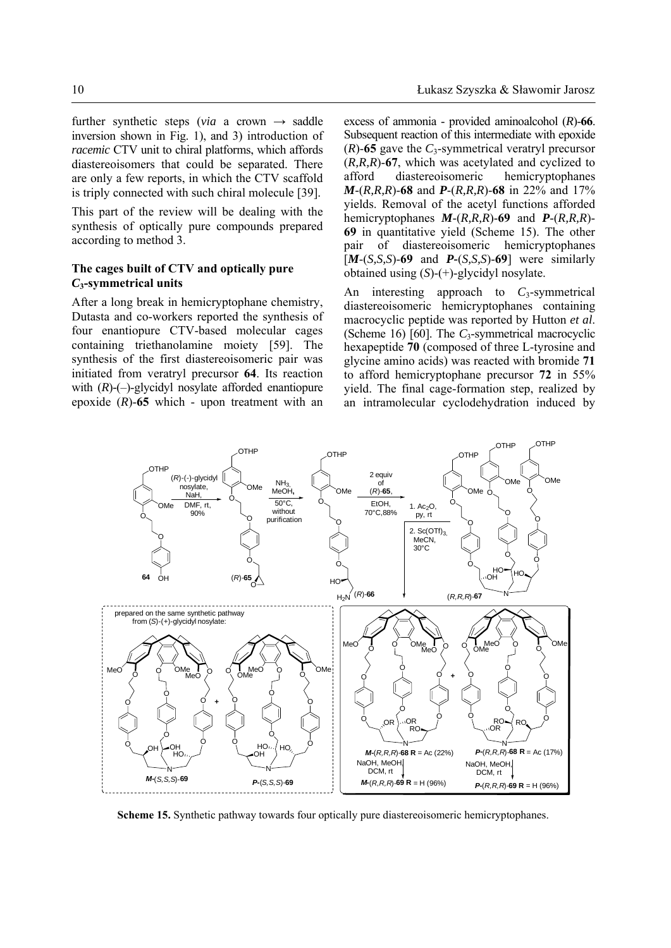further synthetic steps (*via* a crown  $\rightarrow$  saddle inversion shown in Fig. 1), and 3) introduction of *racemic* CTV unit to chiral platforms, which affords diastereoisomers that could be separated. There are only a few reports, in which the CTV scaffold is triply connected with such chiral molecule [39].

This part of the review will be dealing with the synthesis of optically pure compounds prepared according to method 3.

# **The cages built of CTV and optically pure**  *C***3-symmetrical units**

After a long break in hemicryptophane chemistry, Dutasta and co-workers reported the synthesis of four enantiopure CTV-based molecular cages containing triethanolamine moiety [59]. The synthesis of the first diastereoisomeric pair was initiated from veratryl precursor **64**. Its reaction with  $(R)$ - $(-)$ -glycidyl nosylate afforded enantiopure epoxide (*R*)-**65** which - upon treatment with an excess of ammonia - provided aminoalcohol (*R*)-**66**. Subsequent reaction of this intermediate with epoxide  $(R)$ -65 gave the  $C_3$ -symmetrical veratryl precursor (*R,R,R*)-**67**, which was acetylated and cyclized to afford diastereoisomeric hemicryptophanes *M*-(*R,R,R*)-**68** and *P*-(*R,R,R*)-**68** in 22% and 17% yields. Removal of the acetyl functions afforded hemicryptophanes *M*-(*R,R,R*)-**69** and *P*-(*R,R,R*)- **69** in quantitative yield (Scheme 15). The other pair of diastereoisomeric hemicryptophanes [*M*-(*S,S,S*)-**69** and *P-*(*S,S,S*)-**69**] were similarly obtained using (*S*)-(+)-glycidyl nosylate.

An interesting approach to  $C_3$ -symmetrical diastereoisomeric hemicryptophanes containing macrocyclic peptide was reported by Hutton *et al*. (Scheme 16) [60]. The *C*3-symmetrical macrocyclic hexapeptide **70** (composed of three L-tyrosine and glycine amino acids) was reacted with bromide **71** to afford hemicryptophane precursor **72** in 55% yield. The final cage-formation step, realized by an intramolecular cyclodehydration induced by



**Scheme 15.** Synthetic pathway towards four optically pure diastereoisomeric hemicryptophanes.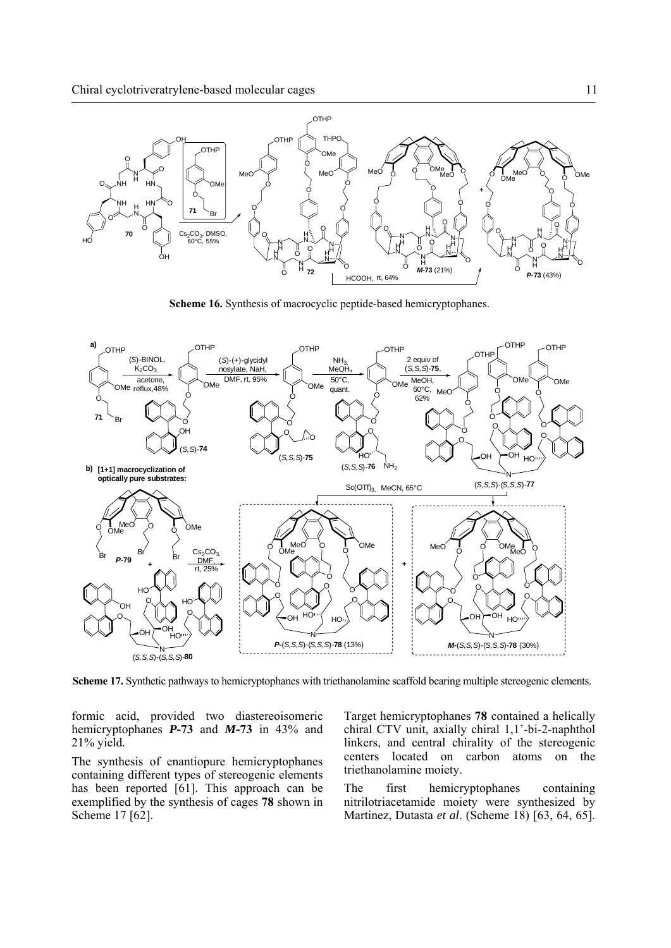

**Scheme 16.** Synthesis of macrocyclic peptide-based hemicryptophanes.



**Scheme 17.** Synthetic pathways to hemicryptophanes with triethanolamine scaffold bearing multiple stereogenic elements.

formic acid, provided two diastereoisomeric hemicryptophanes *P***-73** and *M***-73** in 43% and 21% yield*.* 

The synthesis of enantiopure hemicryptophanes containing different types of stereogenic elements has been reported [61]. This approach can be exemplified by the synthesis of cages **78** shown in Scheme 17 [62].

Target hemicryptophanes **78** contained a helically chiral CTV unit, axially chiral 1,1'-bi-2-naphthol linkers, and central chirality of the stereogenic centers located on carbon atoms on the triethanolamine moiety.

The first hemicryptophanes containing nitrilotriacetamide moiety were synthesized by Martinez, Dutasta *et al*. (Scheme 18) [63, 64, 65].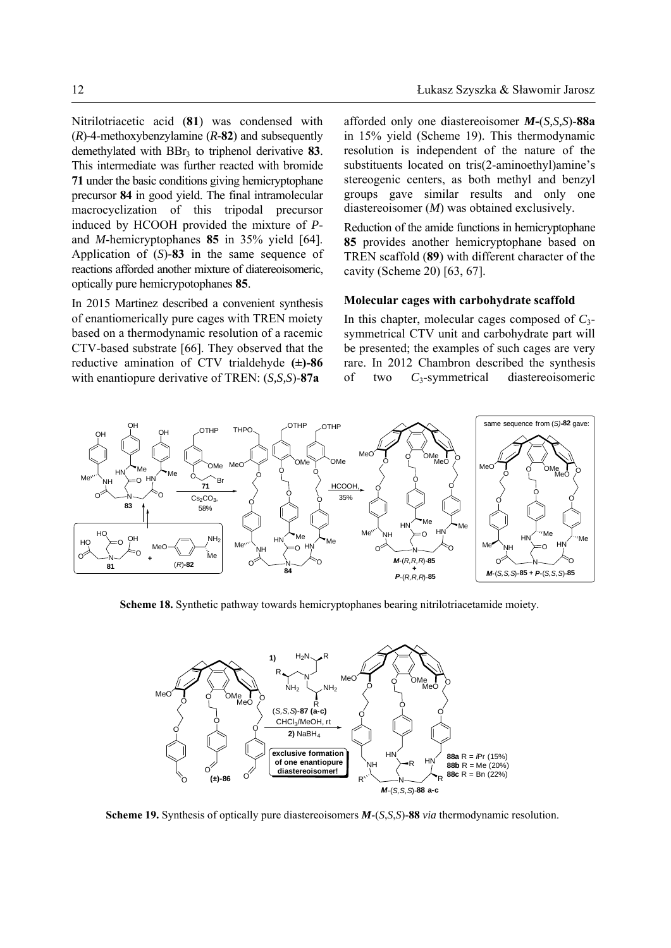Nitrilotriacetic acid (**81**) was condensed with (*R*)*-*4-methoxybenzylamine (*R-***82**) and subsequently demethylated with BBr3 to triphenol derivative **83**. This intermediate was further reacted with bromide **71** under the basic conditions giving hemicryptophane precursor **84** in good yield. The final intramolecular macrocyclization of this tripodal precursor induced by HCOOH provided the mixture of *P*and *M*-hemicryptophanes **85** in 35% yield [64]. Application of (*S*)*-***83** in the same sequence of reactions afforded another mixture of diatereoisomeric, optically pure hemicrypotophanes **85**.

In 2015 Martinez described a convenient synthesis of enantiomerically pure cages with TREN moiety based on a thermodynamic resolution of a racemic CTV-based substrate [66]. They observed that the reductive amination of CTV trialdehyde **(±)-86**  with enantiopure derivative of TREN: (*S,S,S*)-**87a** 

afforded only one diastereoisomer *M***-**(*S,S,S*)-**88a** in 15% yield (Scheme 19). This thermodynamic resolution is independent of the nature of the substituents located on tris(2-aminoethyl)amine's stereogenic centers, as both methyl and benzyl groups gave similar results and only one diastereoisomer (*M*) was obtained exclusively.

Reduction of the amide functions in hemicryptophane **85** provides another hemicryptophane based on TREN scaffold (**89**) with different character of the cavity (Scheme 20) [63, 67].

## **Molecular cages with carbohydrate scaffold**

In this chapter, molecular cages composed of *C*3 symmetrical CTV unit and carbohydrate part will be presented; the examples of such cages are very rare. In 2012 Chambron described the synthesis of two *C*3-symmetrical diastereoisomeric



**Scheme 18.** Synthetic pathway towards hemicryptophanes bearing nitrilotriacetamide moiety.



**Scheme 19.** Synthesis of optically pure diastereoisomers *M*-(*S*,*S*,*S*)-**88** *via* thermodynamic resolution.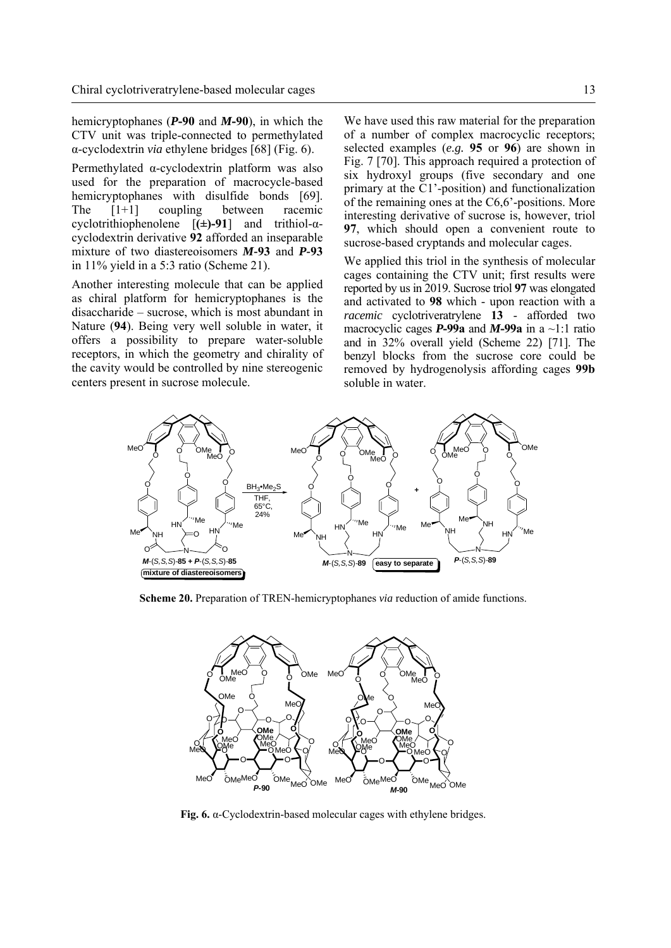hemicryptophanes (*P***-90** and *M***-90**), in which the CTV unit was triple-connected to permethylated α-cyclodextrin *via* ethylene bridges [68] (Fig. 6).

Permethylated α-cyclodextrin platform was also used for the preparation of macrocycle-based hemicryptophanes with disulfide bonds [69]. The [1+1] coupling between racemic cyclotrithiophenolene [**(±)-91**] and trithiol-αcyclodextrin derivative **92** afforded an inseparable mixture of two diastereoisomers *M-***93** and *P-***93** in 11% yield in a 5:3 ratio (Scheme 21).

Another interesting molecule that can be applied as chiral platform for hemicryptophanes is the disaccharide – sucrose, which is most abundant in Nature (**94**). Being very well soluble in water, it offers a possibility to prepare water-soluble receptors, in which the geometry and chirality of the cavity would be controlled by nine stereogenic centers present in sucrose molecule.

We have used this raw material for the preparation of a number of complex macrocyclic receptors; selected examples (*e.g.* **95** or **96**) are shown in Fig. 7 [70]. This approach required a protection of six hydroxyl groups (five secondary and one primary at the C1'-position) and functionalization of the remaining ones at the C6,6'-positions. More interesting derivative of sucrose is, however, triol **97**, which should open a convenient route to sucrose-based cryptands and molecular cages.

We applied this triol in the synthesis of molecular cages containing the CTV unit; first results were reported by us in 2019. Sucrose triol **97** was elongated and activated to **98** which - upon reaction with a *racemic* cyclotriveratrylene **13** - afforded two macrocyclic cages *P***-99a** and *M***-99a** in a ~1:1 ratio and in 32% overall yield (Scheme 22) [71]. The benzyl blocks from the sucrose core could be removed by hydrogenolysis affording cages **99b** soluble in water.



**Scheme 20.** Preparation of TREN-hemicryptophanes *via* reduction of amide functions.



**Fig. 6.** α-Cyclodextrin-based molecular cages with ethylene bridges.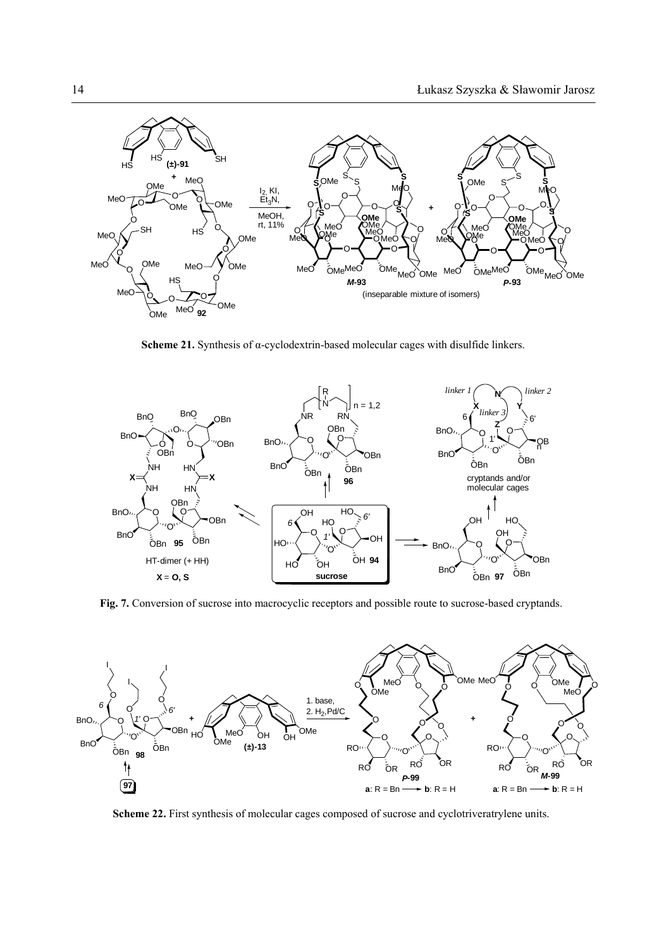

**Scheme 21.** Synthesis of α-cyclodextrin-based molecular cages with disulfide linkers.



**Fig. 7.** Conversion of sucrose into macrocyclic receptors and possible route to sucrose-based cryptands.



**Scheme 22.** First synthesis of molecular cages composed of sucrose and cyclotriveratrylene units.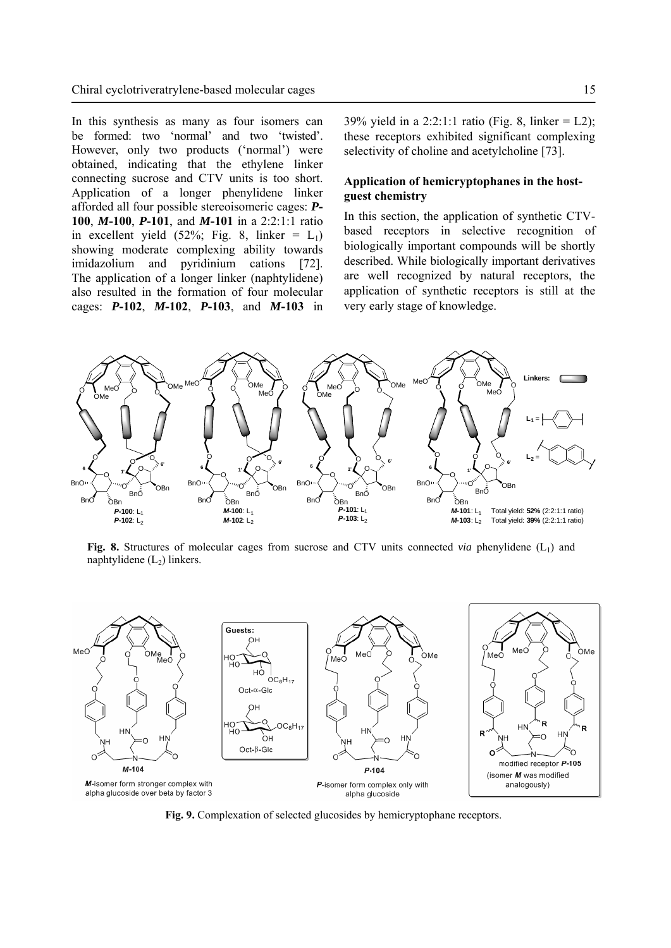In this synthesis as many as four isomers can be formed: two 'normal' and two 'twisted'. However, only two products ('normal') were obtained, indicating that the ethylene linker connecting sucrose and CTV units is too short. Application of a longer phenylidene linker afforded all four possible stereoisomeric cages: *P***-100**, *M***-100**, *P***-101**, and *M***-101** in a 2:2:1:1 ratio in excellent yield  $(52\%;$  Fig. 8, linker =  $L_1$ ) showing moderate complexing ability towards imidazolium and pyridinium cations [72]. The application of a longer linker (naphtylidene) also resulted in the formation of four molecular cages: *P***-102**, *M***-102**, *P***-103**, and *M***-103** in 39% yield in a 2:2:1:1 ratio (Fig. 8, linker = L2); these receptors exhibited significant complexing selectivity of choline and acetylcholine [73].

# **Application of hemicryptophanes in the hostguest chemistry**

In this section, the application of synthetic CTVbased receptors in selective recognition of biologically important compounds will be shortly described. While biologically important derivatives are well recognized by natural receptors, the application of synthetic receptors is still at the very early stage of knowledge.



**Fig. 8.** Structures of molecular cages from sucrose and CTV units connected *via* phenylidene (L1) and naphtylidene  $(L_2)$  linkers.



**Fig. 9.** Complexation of selected glucosides by hemicryptophane receptors.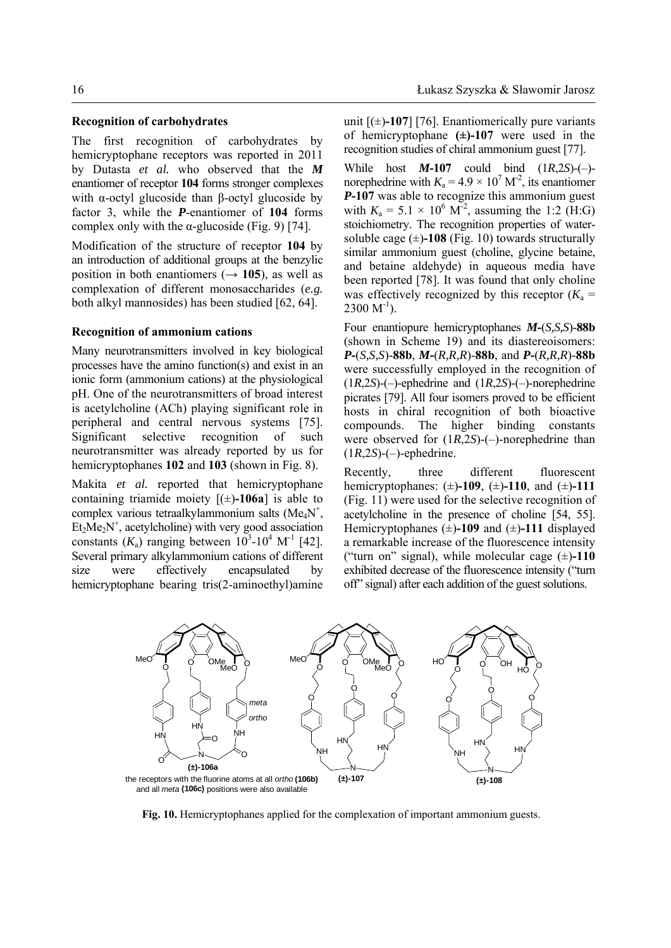The first recognition of carbohydrates by hemicryptophane receptors was reported in 2011 by Dutasta *et al.* who observed that the *M* enantiomer of receptor **104** forms stronger complexes with α-octyl glucoside than β-octyl glucoside by factor 3, while the *P*-enantiomer of **104** forms complex only with the  $\alpha$ -glucoside (Fig. 9) [74].

Modification of the structure of receptor **104** by an introduction of additional groups at the benzylic position in both enantiomers  $(\rightarrow 105)$ , as well as complexation of different monosaccharides (*e.g.* both alkyl mannosides) has been studied [62, 64].

## **Recognition of ammonium cations**

Many neurotransmitters involved in key biological processes have the amino function(s) and exist in an ionic form (ammonium cations) at the physiological pH. One of the neurotransmitters of broad interest is acetylcholine (ACh) playing significant role in peripheral and central nervous systems [75]. Significant selective recognition of such neurotransmitter was already reported by us for hemicryptophanes **102** and **103** (shown in Fig. 8).

Makita *et al.* reported that hemicryptophane containing triamide moiety  $[(\pm)$ -106a] is able to complex various tetraalkylammonium salts ( $Me<sub>4</sub>N<sup>+</sup>$ ,  $Et<sub>2</sub>Me<sub>2</sub>N<sup>+</sup>$ , acetylcholine) with very good association constants  $(K_a)$  ranging between  $10^3$ -10<sup>4</sup> M<sup>-1</sup> [42]. Several primary alkylammonium cations of different size were effectively encapsulated by hemicryptophane bearing tris(2-aminoethyl)amine

unit  $[(\pm)$ -107] [76]. Enantiomerically pure variants of hemicryptophane **(±)-107** were used in the recognition studies of chiral ammonium guest [77].

While host *M***-107** could bind (1*R*,2*S*)-(–) norephedrine with  $K_a = 4.9 \times 10^7$  M<sup>-2</sup>, its enantiomer *P***-107** was able to recognize this ammonium guest with  $K_a = 5.1 \times 10^6 \text{ M}^2$ , assuming the 1:2 (H:G) stoichiometry. The recognition properties of watersoluble cage  $(\pm)$ -108 (Fig. 10) towards structurally similar ammonium guest (choline, glycine betaine, and betaine aldehyde) in aqueous media have been reported [78]. It was found that only choline was effectively recognized by this receptor  $(K_a =$  $2300 M^{-1}$ ).

Four enantiopure hemicryptophanes *M***-**(*S,S,S*)-**88b**  (shown in Scheme 19) and its diastereoisomers: *P***-**(*S,S,S*)-**88b**, *M***-**(*R,R,R*)-**88b**, and *P***-**(*R,R,R*)-**88b** were successfully employed in the recognition of (1*R*,2*S*)-(–)-ephedrine and (1*R*,2*S*)-(–)-norephedrine picrates [79]. All four isomers proved to be efficient hosts in chiral recognition of both bioactive compounds. The higher binding constants were observed for (1*R*,2*S*)-(–)-norephedrine than  $(1R,2S)-(-)$ -ephedrine.

Recently, three different fluorescent hemicryptophanes: (±)**-109**, (±)**-110**, and (±)**-111**  (Fig. 11) were used for the selective recognition of acetylcholine in the presence of choline [54, 55]. Hemicryptophanes (±)**-109** and (±)**-111** displayed a remarkable increase of the fluorescence intensity ("turn on" signal), while molecular cage (±)**-110** exhibited decrease of the fluorescence intensity ("turn off" signal) after each addition of the guest solutions.



**Fig. 10.** Hemicryptophanes applied for the complexation of important ammonium guests.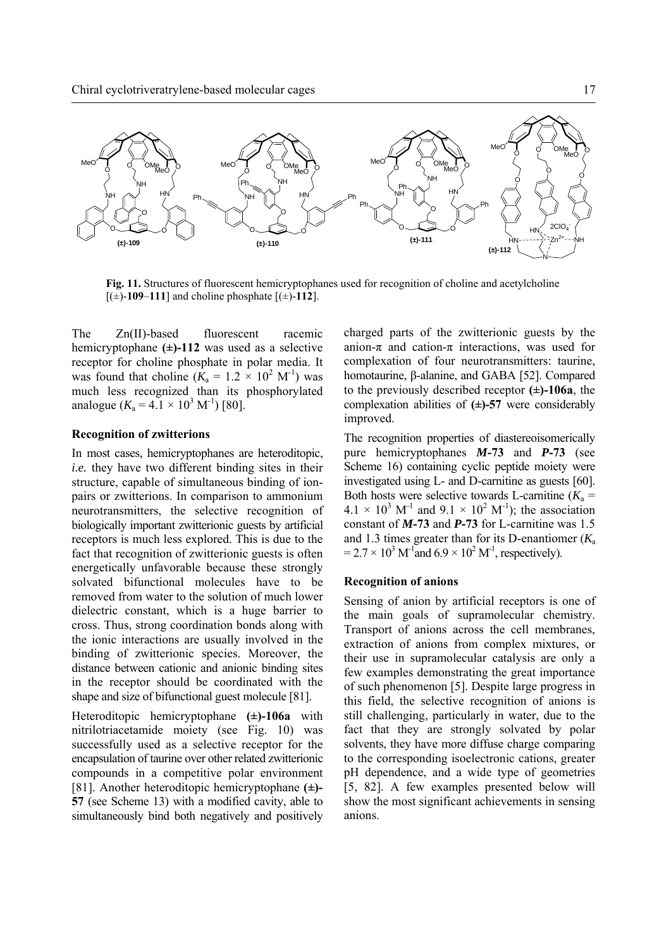

**Fig. 11.** Structures of fluorescent hemicryptophanes used for recognition of choline and acetylcholine  $[(\pm)$ -109-111] and choline phosphate  $[(\pm)$ -112].

The Zn(II)-based fluorescent racemic hemicryptophane **(±)-112** was used as a selective receptor for choline phosphate in polar media. It was found that choline  $(K_a = 1.2 \times 10^2 \text{ M}^{\text{-}1})$  was much less recognized than its phosphorylated analogue  $(K_a = 4.1 \times 10^3 \text{ M}^{-1})$  [80].

### **Recognition of zwitterions**

In most cases, hemicryptophanes are heteroditopic, *i.e.* they have two different binding sites in their structure, capable of simultaneous binding of ionpairs or zwitterions. In comparison to ammonium neurotransmitters, the selective recognition of biologically important zwitterionic guests by artificial receptors is much less explored. This is due to the fact that recognition of zwitterionic guests is often energetically unfavorable because these strongly solvated bifunctional molecules have to be removed from water to the solution of much lower dielectric constant, which is a huge barrier to cross. Thus, strong coordination bonds along with the ionic interactions are usually involved in the binding of zwitterionic species. Moreover, the distance between cationic and anionic binding sites in the receptor should be coordinated with the shape and size of bifunctional guest molecule [81].

Heteroditopic hemicryptophane **(±)-106a** with nitrilotriacetamide moiety (see Fig. 10) was successfully used as a selective receptor for the encapsulation of taurine over other related zwitterionic compounds in a competitive polar environment [81]. Another heteroditopic hemicryptophane **(±)- 57** (see Scheme 13) with a modified cavity, able to simultaneously bind both negatively and positively charged parts of the zwitterionic guests by the anion- $\pi$  and cation- $\pi$  interactions, was used for complexation of four neurotransmitters: taurine, homotaurine, β-alanine, and GABA [52]. Compared to the previously described receptor **(±)-106a**, the complexation abilities of **(±)-57** were considerably improved.

The recognition properties of diastereoisomerically pure hemicryptophanes *M***-73** and *P***-73** (see Scheme 16) containing cyclic peptide moiety were investigated using L- and D-carnitine as guests [60]. Both hosts were selective towards L-carnitine  $(K_a =$  $4.1 \times 10^3$  M<sup>-1</sup> and  $9.1 \times 10^2$  M<sup>-1</sup>); the association constant of *M***-73** and *P***-73** for L-carnitine was 1.5 and 1.3 times greater than for its D-enantiomer (*K*<sup>a</sup>  $= 2.7 \times 10^3 \,\mathrm{M}^{-1}$  and  $6.9 \times 10^2 \,\mathrm{M}^{-1}$ , respectively).

## **Recognition of anions**

Sensing of anion by artificial receptors is one of the main goals of supramolecular chemistry. Transport of anions across the cell membranes, extraction of anions from complex mixtures, or their use in supramolecular catalysis are only a few examples demonstrating the great importance of such phenomenon [5]. Despite large progress in this field, the selective recognition of anions is still challenging, particularly in water, due to the fact that they are strongly solvated by polar solvents, they have more diffuse charge comparing to the corresponding isoelectronic cations, greater pH dependence, and a wide type of geometries [5, 82]. A few examples presented below will show the most significant achievements in sensing anions.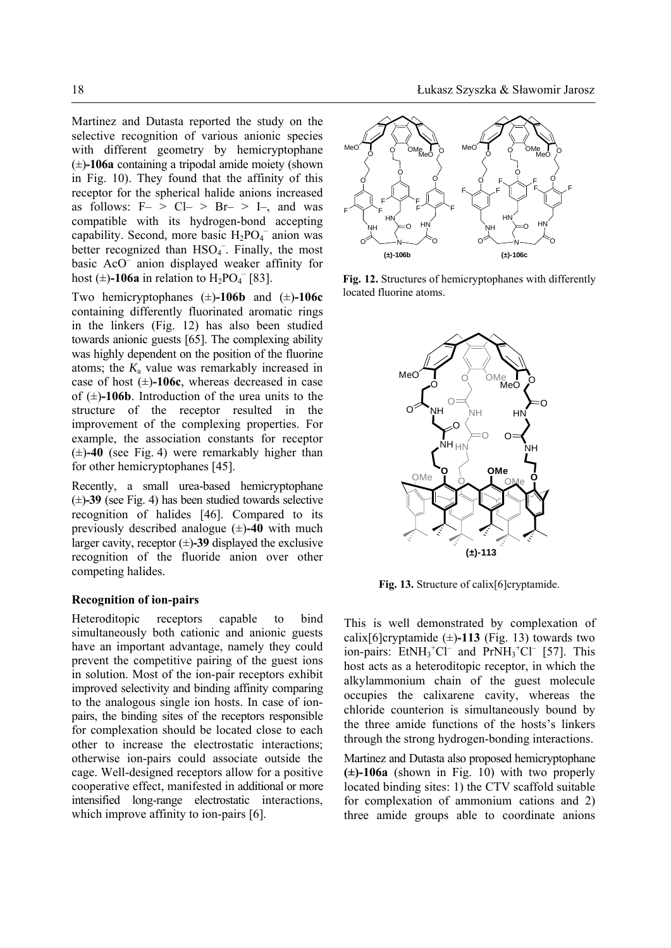Martinez and Dutasta reported the study on the selective recognition of various anionic species with different geometry by hemicryptophane (±)**-106a** containing a tripodal amide moiety (shown in Fig. 10). They found that the affinity of this receptor for the spherical halide anions increased as follows:  $F-> CL-> Br-> L-,$  and was compatible with its hydrogen-bond accepting capability. Second, more basic  $H_2PO_4^-$  anion was better recognized than  $HSO<sub>4</sub>$ <sup>-</sup>. Finally, the most basic AcO– anion displayed weaker affinity for host  $(\pm)$ -106a in relation to  $H_2PO_4^-$  [83].

Two hemicryptophanes (±)**-106b** and (±)**-106c** containing differently fluorinated aromatic rings in the linkers (Fig. 12) has also been studied towards anionic guests [65]. The complexing ability was highly dependent on the position of the fluorine atoms; the  $K_a$  value was remarkably increased in case of host (±)**-106c**, whereas decreased in case of  $(\pm)$ -106b. Introduction of the urea units to the structure of the receptor resulted in the improvement of the complexing properties. For example, the association constants for receptor (±)**-40** (see Fig. 4) were remarkably higher than for other hemicryptophanes [45].

Recently, a small urea-based hemicryptophane (±)**-39** (see Fig. 4) has been studied towards selective recognition of halides [46]. Compared to its previously described analogue (±)**-40** with much larger cavity, receptor  $(\pm)$ **-39** displayed the exclusive recognition of the fluoride anion over other competing halides.

## **Recognition of ion-pairs**

Heteroditopic receptors capable to bind simultaneously both cationic and anionic guests have an important advantage, namely they could prevent the competitive pairing of the guest ions in solution. Most of the ion-pair receptors exhibit improved selectivity and binding affinity comparing to the analogous single ion hosts. In case of ionpairs, the binding sites of the receptors responsible for complexation should be located close to each other to increase the electrostatic interactions; otherwise ion-pairs could associate outside the cage. Well-designed receptors allow for a positive cooperative effect, manifested in additional or more intensified long-range electrostatic interactions, which improve affinity to ion-pairs [6].



**Fig. 12.** Structures of hemicryptophanes with differently located fluorine atoms.



Fig. 13. Structure of calix<sup>[6]</sup>cryptamide.

This is well demonstrated by complexation of calix<sup>[6]</sup>cryptamide ( $\pm$ )-113 (Fig. 13) towards two ion-pairs:  $\text{EtNH}_3^+ \text{Cl}^-$  and  $\text{PrNH}_3^+ \text{Cl}^-$  [57]. This host acts as a heteroditopic receptor, in which the alkylammonium chain of the guest molecule occupies the calixarene cavity, whereas the chloride counterion is simultaneously bound by the three amide functions of the hosts's linkers through the strong hydrogen-bonding interactions.

Martinez and Dutasta also proposed hemicryptophane **(±)-106a** (shown in Fig. 10) with two properly located binding sites: 1) the CTV scaffold suitable for complexation of ammonium cations and 2) three amide groups able to coordinate anions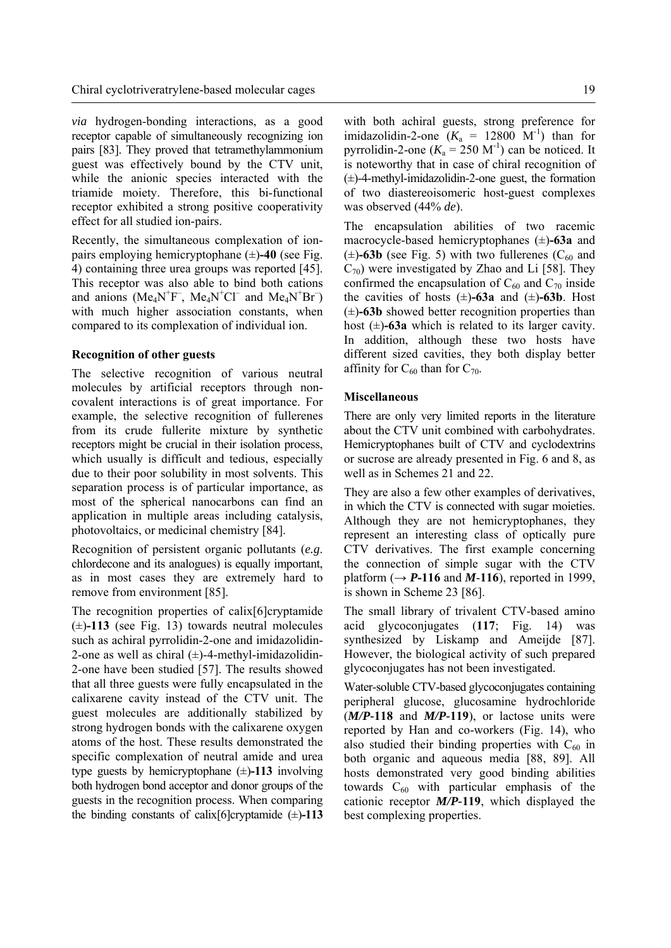*via* hydrogen-bonding interactions, as a good receptor capable of simultaneously recognizing ion pairs [83]. They proved that tetramethylammonium guest was effectively bound by the CTV unit, while the anionic species interacted with the triamide moiety. Therefore, this bi-functional receptor exhibited a strong positive cooperativity effect for all studied ion-pairs.

Recently, the simultaneous complexation of ionpairs employing hemicryptophane (±)**-40** (see Fig. 4) containing three urea groups was reported [45]. This receptor was also able to bind both cations and anions (Me<sub>4</sub>N<sup>+</sup>F<sup>-</sup>, Me<sub>4</sub>N<sup>+</sup>Cl<sup>-</sup> and Me<sub>4</sub>N<sup>+</sup>Br<sup>-</sup>) with much higher association constants, when compared to its complexation of individual ion.

## **Recognition of other guests**

The selective recognition of various neutral molecules by artificial receptors through noncovalent interactions is of great importance. For example, the selective recognition of fullerenes from its crude fullerite mixture by synthetic receptors might be crucial in their isolation process, which usually is difficult and tedious, especially due to their poor solubility in most solvents. This separation process is of particular importance, as most of the spherical nanocarbons can find an application in multiple areas including catalysis, photovoltaics, or medicinal chemistry [84].

Recognition of persistent organic pollutants (*e.g*. chlordecone and its analogues) is equally important, as in most cases they are extremely hard to remove from environment [85].

The recognition properties of calix[6]cryptamide  $(\pm)$ **-113** (see Fig. 13) towards neutral molecules such as achiral pyrrolidin-2-one and imidazolidin-2-one as well as chiral  $(\pm)$ -4-methyl-imidazolidin-2-one have been studied [57]. The results showed that all three guests were fully encapsulated in the calixarene cavity instead of the CTV unit. The guest molecules are additionally stabilized by strong hydrogen bonds with the calixarene oxygen atoms of the host. These results demonstrated the specific complexation of neutral amide and urea type guests by hemicryptophane (±)**-113** involving both hydrogen bond acceptor and donor groups of the guests in the recognition process. When comparing the binding constants of calix[6]cryptamide  $(\pm)$ **-113**  with both achiral guests, strong preference for imidazolidin-2-one  $(K_a = 12800 \text{ M}^{-1})$  than for pyrrolidin-2-one  $(K_a = 250 \text{ M}^{-1})$  can be noticed. It is noteworthy that in case of chiral recognition of  $(\pm)$ -4-methyl-imidazolidin-2-one guest, the formation of two diastereoisomeric host-guest complexes was observed (44% *de*).

The encapsulation abilities of two racemic macrocycle-based hemicryptophanes (±)**-63a** and  $(\pm)$ **-63b** (see Fig. 5) with two fullerenes ( $C_{60}$  and  $C_{70}$ ) were investigated by Zhao and Li [58]. They confirmed the encapsulation of  $C_{60}$  and  $C_{70}$  inside the cavities of hosts  $(\pm)$ -63a and  $(\pm)$ -63b. Host  $(\pm)$ **-63b** showed better recognition properties than host  $(\pm)$ -63a which is related to its larger cavity. In addition, although these two hosts have different sized cavities, they both display better affinity for  $C_{60}$  than for  $C_{70}$ .

## **Miscellaneous**

There are only very limited reports in the literature about the CTV unit combined with carbohydrates. Hemicryptophanes built of CTV and cyclodextrins or sucrose are already presented in Fig. 6 and 8, as well as in Schemes 21 and 22.

They are also a few other examples of derivatives, in which the CTV is connected with sugar moieties. Although they are not hemicryptophanes, they represent an interesting class of optically pure CTV derivatives. The first example concerning the connection of simple sugar with the CTV platform  $(\rightarrow P$ **-116** and *M*-116), reported in 1999, is shown in Scheme 23 [86].

The small library of trivalent CTV-based amino acid glycoconjugates (**117**; Fig. 14) was synthesized by Liskamp and Ameijde [87]. However, the biological activity of such prepared glycoconjugates has not been investigated.

Water-soluble CTV-based glycoconjugates containing peripheral glucose, glucosamine hydrochloride (*M/P-***118** and *M/P-***119**), or lactose units were reported by Han and co-workers (Fig. 14), who also studied their binding properties with  $C_{60}$  in both organic and aqueous media [88, 89]. All hosts demonstrated very good binding abilities towards  $C_{60}$  with particular emphasis of the cationic receptor *M/P-***119**, which displayed the best complexing properties.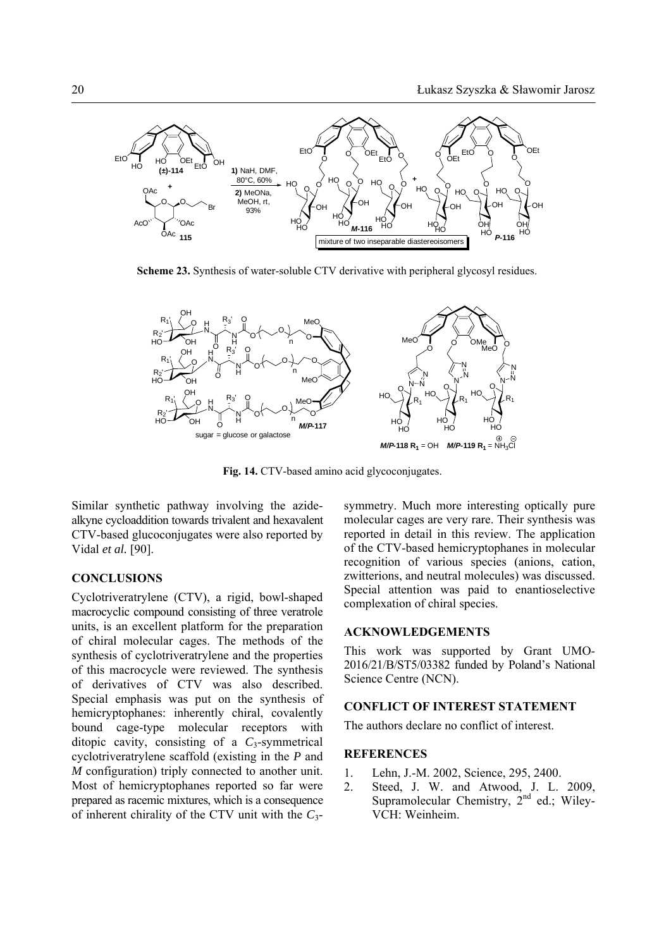

**Scheme 23.** Synthesis of water-soluble CTV derivative with peripheral glycosyl residues.



**Fig. 14.** CTV-based amino acid glycoconjugates.

Similar synthetic pathway involving the azidealkyne cycloaddition towards trivalent and hexavalent CTV-based glucoconjugates were also reported by Vidal *et al.* [90].

## **CONCLUSIONS**

Cyclotriveratrylene (CTV), a rigid, bowl-shaped macrocyclic compound consisting of three veratrole units, is an excellent platform for the preparation of chiral molecular cages. The methods of the synthesis of cyclotriveratrylene and the properties of this macrocycle were reviewed. The synthesis of derivatives of CTV was also described. Special emphasis was put on the synthesis of hemicryptophanes: inherently chiral, covalently bound cage-type molecular receptors with ditopic cavity, consisting of a *C*3-symmetrical cyclotriveratrylene scaffold (existing in the *P* and *M* configuration) triply connected to another unit. Most of hemicryptophanes reported so far were prepared as racemic mixtures, which is a consequence of inherent chirality of the CTV unit with the *C*3symmetry. Much more interesting optically pure molecular cages are very rare. Their synthesis was reported in detail in this review. The application of the CTV-based hemicryptophanes in molecular recognition of various species (anions, cation, zwitterions, and neutral molecules) was discussed. Special attention was paid to enantioselective complexation of chiral species.

#### **ACKNOWLEDGEMENTS**

This work was supported by Grant UMO-2016/21/B/ST5/03382 funded by Poland's National Science Centre (NCN).

#### **CONFLICT OF INTEREST STATEMENT**

The authors declare no conflict of interest.

## **REFERENCES**

- 1. Lehn, J.-M. 2002, Science, 295, 2400.
- 2. Steed, J. W. and Atwood, J. L. 2009, Supramolecular Chemistry,  $2<sup>nd</sup>$  ed.; Wiley-VCH: Weinheim.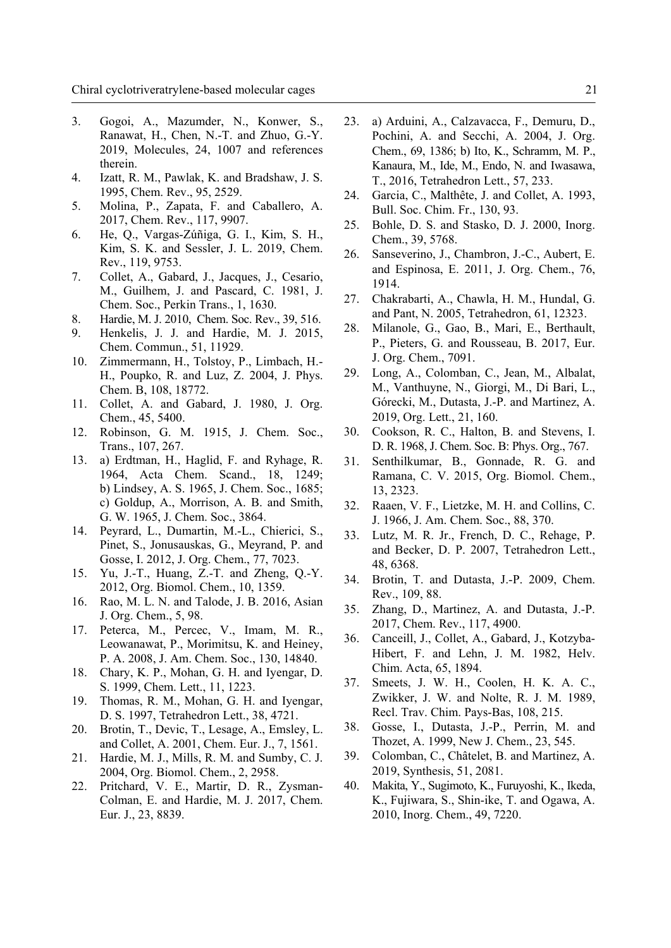- 3. Gogoi, A., Mazumder, N., Konwer, S., Ranawat, H., Chen, N.-T. and Zhuo, G.-Y. 2019, Molecules, 24, 1007 and references therein.
- 4. Izatt, R. M., Pawlak, K. and Bradshaw, J. S. 1995, Chem. Rev., 95, 2529.
- 5. Molina, P., Zapata, F. and Caballero, A. 2017, Chem. Rev., 117, 9907.
- 6. He, Q., Vargas-Zúñiga, G. I., Kim, S. H., Kim, S. K. and Sessler, J. L. 2019, Chem. Rev., 119, 9753.
- 7. Collet, A., Gabard, J., Jacques, J., Cesario, M., Guilhem, J. and Pascard, C. 1981, J. Chem. Soc., Perkin Trans., 1, 1630.
- 8. Hardie, M. J. 2010, Chem. Soc. Rev., 39, 516.
- 9. Henkelis, J. J. and Hardie, M. J. 2015, Chem. Commun., 51, 11929.
- 10. Zimmermann, H., Tolstoy, P., Limbach, H.- H., Poupko, R. and Luz, Z. 2004, J. Phys. Chem. B, 108, 18772.
- 11. Collet, A. and Gabard, J. 1980, J. Org. Chem., 45, 5400.
- 12. Robinson, G. M. 1915, J. Chem. Soc., Trans., 107, 267.
- 13. a) Erdtman, H., Haglid, F. and Ryhage, R. 1964, Acta Chem. Scand., 18, 1249; b) Lindsey, A. S. 1965, J. Chem. Soc., 1685; c) Goldup, A., Morrison, A. B. and Smith, G. W. 1965, J. Chem. Soc., 3864.
- 14. Peyrard, L., Dumartin, M.-L., Chierici, S., Pinet, S., Jonusauskas, G., Meyrand, P. and Gosse, I. 2012, J. Org. Chem., 77, 7023.
- 15. Yu, J.-T., Huang, Z.-T. and Zheng, Q.-Y. 2012, Org. Biomol. Chem., 10, 1359.
- 16. Rao, M. L. N. and Talode, J. B. 2016, Asian J. Org. Chem., 5, 98.
- 17. Peterca, M., Percec, V., Imam, M. R., Leowanawat, P., Morimitsu, K. and Heiney, P. A. 2008, J. Am. Chem. Soc., 130, 14840.
- 18. Chary, K. P., Mohan, G. H. and Iyengar, D. S. 1999, Chem. Lett., 11, 1223.
- 19. Thomas, R. M., Mohan, G. H. and Iyengar, D. S. 1997, Tetrahedron Lett., 38, 4721.
- 20. Brotin, T., Devic, T., Lesage, A., Emsley, L. and Collet, A. 2001, Chem. Eur. J., 7, 1561.
- 21. Hardie, M. J., Mills, R. M. and Sumby, C. J. 2004, Org. Biomol. Chem., 2, 2958.
- 22. Pritchard, V. E., Martir, D. R., Zysman-Colman, E. and Hardie, M. J. 2017, Chem. Eur. J., 23, 8839.
- 23. a) Arduini, A., Calzavacca, F., Demuru, D., Pochini, A. and Secchi, A. 2004, J. Org. Chem., 69, 1386; b) Ito, K., Schramm, M. P., Kanaura, M., Ide, M., Endo, N. and Iwasawa, T., 2016, Tetrahedron Lett., 57, 233.
- 24. Garcia, C., Malthête, J. and Collet, A. 1993, Bull. Soc. Chim. Fr., 130, 93.
- 25. Bohle, D. S. and Stasko, D. J. 2000, Inorg. Chem., 39, 5768.
- 26. Sanseverino, J., Chambron, J.-C., Aubert, E. and Espinosa, E. 2011, J. Org. Chem., 76, 1914.
- 27. Chakrabarti, A., Chawla, H. M., Hundal, G. and Pant, N. 2005, Tetrahedron, 61, 12323.
- 28. Milanole, G., Gao, B., Mari, E., Berthault, P., Pieters, G. and Rousseau, B. 2017, Eur. J. Org. Chem., 7091.
- 29. Long, A., Colomban, C., Jean, M., Albalat, M., Vanthuyne, N., Giorgi, M., Di Bari, L., Górecki, M., Dutasta, J.-P. and Martinez, A. 2019, Org. Lett., 21, 160.
- 30. Cookson, R. C., Halton, B. and Stevens, I. D. R. 1968, J. Chem. Soc. B: Phys. Org., 767.
- 31. Senthilkumar, B., Gonnade, R. G. and Ramana, C. V. 2015, Org. Biomol. Chem., 13, 2323.
- 32. Raaen, V. F., Lietzke, M. H. and Collins, C. J. 1966, J. Am. Chem. Soc., 88, 370.
- 33. Lutz, M. R. Jr., French, D. C., Rehage, P. and Becker, D. P. 2007, Tetrahedron Lett., 48, 6368.
- 34. Brotin, T. and Dutasta, J.-P. 2009, Chem. Rev., 109, 88.
- 35. Zhang, D., Martinez, A. and Dutasta, J.-P. 2017, Chem. Rev., 117, 4900.
- 36. Canceill, J., Collet, A., Gabard, J., Kotzyba-Hibert, F. and Lehn, J. M. 1982, Helv. Chim. Acta, 65, 1894.
- 37. Smeets, J. W. H., Coolen, H. K. A. C., Zwikker, J. W. and Nolte, R. J. M. 1989, Recl. Trav. Chim. Pays-Bas, 108, 215.
- 38. Gosse, I., Dutasta, J.-P., Perrin, M. and Thozet, A. 1999, New J. Chem., 23, 545.
- 39. Colomban, C., Châtelet, B. and Martinez, A. 2019, Synthesis, 51, 2081.
- 40. Makita, Y., Sugimoto, K., Furuyoshi, K., Ikeda, K., Fujiwara, S., Shin-ike, T. and Ogawa, A. 2010, Inorg. Chem., 49, 7220.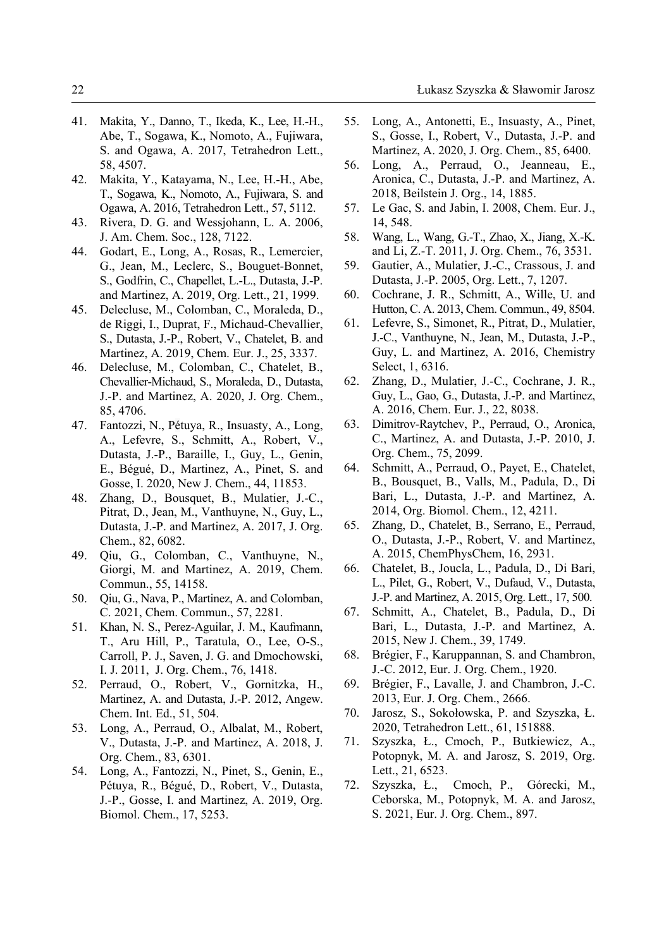- 41. Makita, Y., Danno, T., Ikeda, K., Lee, H.-H., Abe, T., Sogawa, K., Nomoto, A., Fujiwara, S. and Ogawa, A. 2017, Tetrahedron Lett., 58, 4507.
- 42. Makita, Y., Katayama, N., Lee, H.-H., Abe, T., Sogawa, K., Nomoto, A., Fujiwara, S. and Ogawa, A. 2016, Tetrahedron Lett., 57, 5112.
- 43. Rivera, D. G. and Wessjohann, L. A. 2006, J. Am. Chem. Soc., 128, 7122.
- 44. Godart, E., Long, A., Rosas, R., Lemercier, G., Jean, M., Leclerc, S., Bouguet-Bonnet, S., Godfrin, C., Chapellet, L.-L., Dutasta, J.-P. and Martinez, A. 2019, Org. Lett., 21, 1999.
- 45. Delecluse, M., Colomban, C., Moraleda, D., de Riggi, I., Duprat, F., Michaud-Chevallier, S., Dutasta, J.-P., Robert, V., Chatelet, B. and Martinez, A. 2019, Chem. Eur. J., 25, 3337.
- 46. Delecluse, M., Colomban, C., Chatelet, B., Chevallier-Michaud, S., Moraleda, D., Dutasta, J.-P. and Martinez, A. 2020, J. Org. Chem., 85, 4706.
- 47. Fantozzi, N., Pétuya, R., Insuasty, A., Long, A., Lefevre, S., Schmitt, A., Robert, V., Dutasta, J.-P., Baraille, I., Guy, L., Genin, E., Bégué, D., Martinez, A., Pinet, S. and Gosse, I. 2020, New J. Chem., 44, 11853.
- 48. Zhang, D., Bousquet, B., Mulatier, J.-C., Pitrat, D., Jean, M., Vanthuyne, N., Guy, L., Dutasta, J.-P. and Martinez, A. 2017, J. Org. Chem., 82, 6082.
- 49. Qiu, G., Colomban, C., Vanthuyne, N., Giorgi, M. and Martinez, A. 2019, Chem. Commun., 55, 14158.
- 50. Qiu, G., Nava, P., Martinez, A. and Colomban, C. 2021, Chem. Commun., 57, 2281.
- 51. Khan, N. S., Perez-Aguilar, J. M., Kaufmann, T., Aru Hill, P., Taratula, O., Lee, O-S., Carroll, P. J., Saven, J. G. and Dmochowski, I. J. 2011, J. Org. Chem., 76, 1418.
- 52. Perraud, O., Robert, V., Gornitzka, H., Martinez, A. and Dutasta, J.-P. 2012, Angew. Chem. Int. Ed., 51, 504.
- 53. Long, A., Perraud, O., Albalat, M., Robert, V., Dutasta, J.-P. and Martinez, A. 2018, J. Org. Chem., 83, 6301.
- 54. Long, A., Fantozzi, N., Pinet, S., Genin, E., Pétuya, R., Bégué, D., Robert, V., Dutasta, J.-P., Gosse, I. and Martinez, A. 2019, Org. Biomol. Chem., 17, 5253.
- 55. Long, A., Antonetti, E., Insuasty, A., Pinet, S., Gosse, I., Robert, V., Dutasta, J.-P. and Martinez, A. 2020, J. Org. Chem., 85, 6400.
- 56. Long, A., Perraud, O., Jeanneau, E., Aronica, C., Dutasta, J.-P. and Martinez, A. 2018, Beilstein J. Org., 14, 1885.
- 57. Le Gac, S. and Jabin, I. 2008, Chem. Eur. J., 14, 548.
- 58. Wang, L., Wang, G.-T., Zhao, X., Jiang, X.-K. and Li, Z.-T. 2011, J. Org. Chem., 76, 3531.
- 59. Gautier, A., Mulatier, J.-C., Crassous, J. and Dutasta, J.-P. 2005, Org. Lett., 7, 1207.
- 60. Cochrane, J. R., Schmitt, A., Wille, U. and Hutton, C. A. 2013, Chem. Commun., 49, 8504.
- 61. Lefevre, S., Simonet, R., Pitrat, D., Mulatier, J.-C., Vanthuyne, N., Jean, M., Dutasta, J.-P., Guy, L. and Martinez, A. 2016, Chemistry Select, 1, 6316.
- 62. Zhang, D., Mulatier, J.-C., Cochrane, J. R., Guy, L., Gao, G., Dutasta, J.-P. and Martinez, A. 2016, Chem. Eur. J., 22, 8038.
- 63. Dimitrov-Raytchev, P., Perraud, O., Aronica, C., Martinez, A. and Dutasta, J.-P. 2010, J. Org. Chem., 75, 2099.
- 64. Schmitt, A., Perraud, O., Payet, E., Chatelet, B., Bousquet, B., Valls, M., Padula, D., Di Bari, L., Dutasta, J.-P. and Martinez, A. 2014, Org. Biomol. Chem., 12, 4211.
- 65. Zhang, D., Chatelet, B., Serrano, E., Perraud, O., Dutasta, J.-P., Robert, V. and Martinez, A. 2015, ChemPhysChem, 16, 2931.
- 66. Chatelet, B., Joucla, L., Padula, D., Di Bari, L., Pilet, G., Robert, V., Dufaud, V., Dutasta, J.-P. and Martinez, A. 2015, Org. Lett., 17, 500.
- 67. Schmitt, A., Chatelet, B., Padula, D., Di Bari, L., Dutasta, J.-P. and Martinez, A. 2015, New J. Chem., 39, 1749.
- 68. Brégier, F., Karuppannan, S. and Chambron, J.-C. 2012, Eur. J. Org. Chem., 1920.
- 69. Brégier, F., Lavalle, J. and Chambron, J.-C. 2013, Eur. J. Org. Chem., 2666.
- 70. Jarosz, S., Sokołowska, P. and Szyszka, Ł. 2020, Tetrahedron Lett., 61, 151888.
- 71. Szyszka, Ł., Cmoch, P., Butkiewicz, A., Potopnyk, M. A. and Jarosz, S. 2019, Org. Lett., 21, 6523.
- 72. Szyszka, Ł., Cmoch, P., Górecki, M., Ceborska, M., Potopnyk, M. A. and Jarosz, S. 2021, Eur. J. Org. Chem., 897.